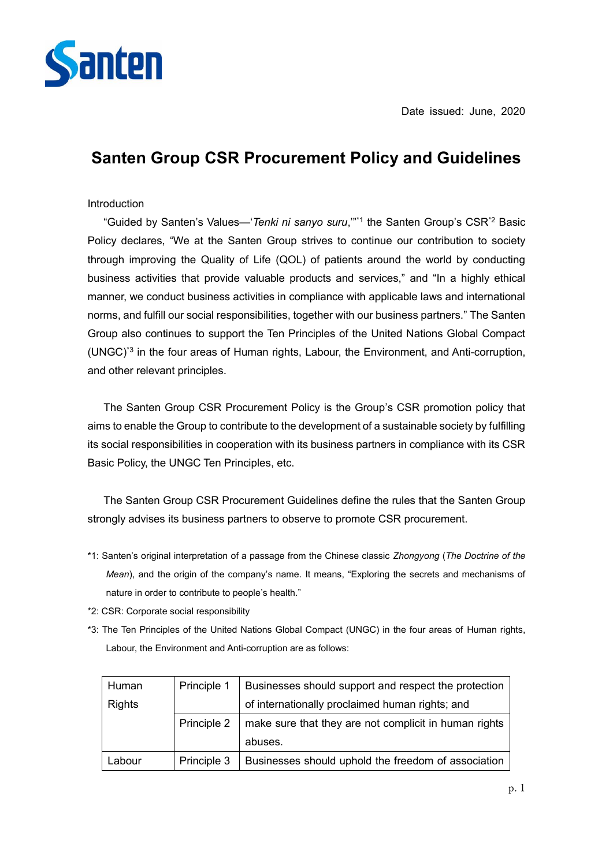

# **Santen Group CSR Procurement Policy and Guidelines**

#### Introduction

 "Guided by Santen's Values—'*Tenki ni sanyo suru*,'"\*1 the Santen Group's CSR\*2 Basic Policy declares, "We at the Santen Group strives to continue our contribution to society through improving the Quality of Life (QOL) of patients around the world by conducting business activities that provide valuable products and services," and "In a highly ethical manner, we conduct business activities in compliance with applicable laws and international norms, and fulfill our social responsibilities, together with our business partners." The Santen Group also continues to support the Ten Principles of the United Nations Global Compact (UNGC)\*3 in the four areas of Human rights, Labour, the Environment, and Anti-corruption, and other relevant principles.

 The Santen Group CSR Procurement Policy is the Group's CSR promotion policy that aims to enable the Group to contribute to the development of a sustainable society by fulfilling its social responsibilities in cooperation with its business partners in compliance with its CSR Basic Policy, the UNGC Ten Principles, etc.

 The Santen Group CSR Procurement Guidelines define the rules that the Santen Group strongly advises its business partners to observe to promote CSR procurement.

- \*1: Santen's original interpretation of a passage from the Chinese classic *Zhongyong* (*The Doctrine of the Mean*), and the origin of the company's name. It means, "Exploring the secrets and mechanisms of nature in order to contribute to people's health."
- \*2: CSR: Corporate social responsibility
- \*3: The Ten Principles of the United Nations Global Compact (UNGC) in the four areas of Human rights, Labour, the Environment and Anti-corruption are as follows:

| Human         | Principle 1 | Businesses should support and respect the protection  |
|---------------|-------------|-------------------------------------------------------|
| <b>Rights</b> |             | of internationally proclaimed human rights; and       |
|               | Principle 2 | make sure that they are not complicit in human rights |
|               |             | abuses.                                               |
| Labour        | Principle 3 | Businesses should uphold the freedom of association   |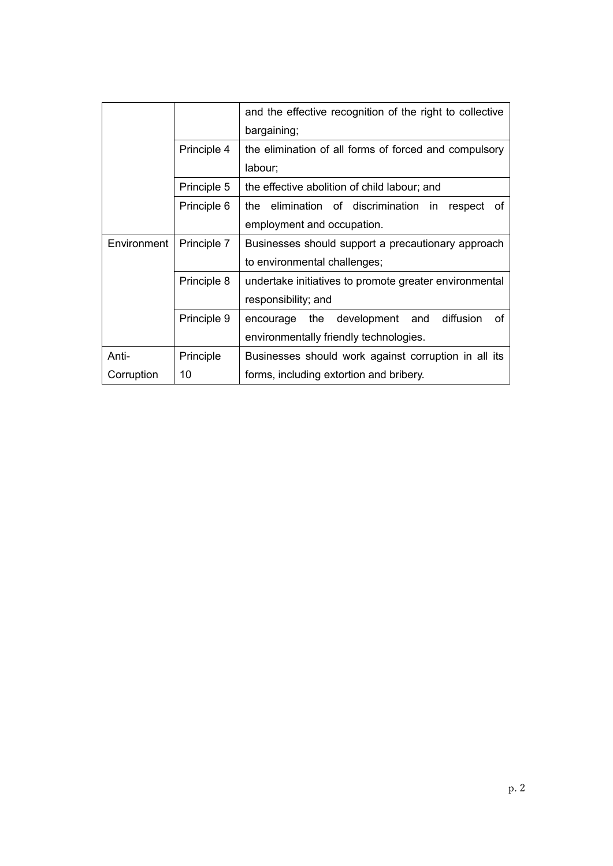|             |             | and the effective recognition of the right to collective  |
|-------------|-------------|-----------------------------------------------------------|
|             |             | bargaining;                                               |
|             | Principle 4 | the elimination of all forms of forced and compulsory     |
|             |             | labour;                                                   |
|             | Principle 5 | the effective abolition of child labour; and              |
|             | Principle 6 | the elimination of discrimination<br>respect<br>in.<br>of |
|             |             | employment and occupation.                                |
| Environment | Principle 7 | Businesses should support a precautionary approach        |
|             |             | to environmental challenges;                              |
|             | Principle 8 | undertake initiatives to promote greater environmental    |
|             |             | responsibility; and                                       |
|             | Principle 9 | diffusion<br>encourage the development<br>and<br>οf       |
|             |             | environmentally friendly technologies.                    |
| Anti-       | Principle   | Businesses should work against corruption in all its      |
| Corruption  | 10          | forms, including extortion and bribery.                   |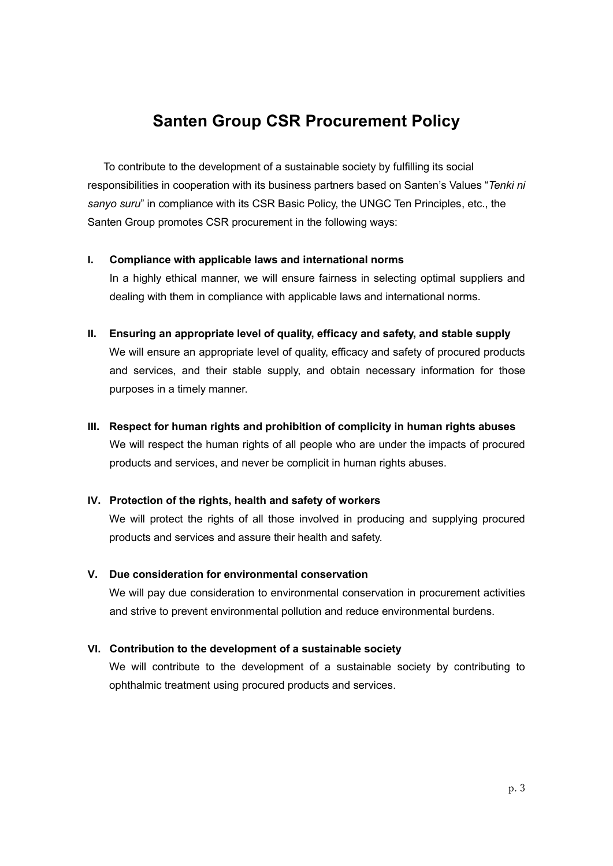# **Santen Group CSR Procurement Policy**

 To contribute to the development of a sustainable society by fulfilling its social responsibilities in cooperation with its business partners based on Santen's Values "*Tenki ni sanyo suru*" in compliance with its CSR Basic Policy, the UNGC Ten Principles, etc., the Santen Group promotes CSR procurement in the following ways:

#### **I. Compliance with applicable laws and international norms**

In a highly ethical manner, we will ensure fairness in selecting optimal suppliers and dealing with them in compliance with applicable laws and international norms.

**II. Ensuring an appropriate level of quality, efficacy and safety, and stable supply** We will ensure an appropriate level of quality, efficacy and safety of procured products and services, and their stable supply, and obtain necessary information for those purposes in a timely manner.

#### **III. Respect for human rights and prohibition of complicity in human rights abuses**

We will respect the human rights of all people who are under the impacts of procured products and services, and never be complicit in human rights abuses.

### **IV. Protection of the rights, health and safety of workers**

We will protect the rights of all those involved in producing and supplying procured products and services and assure their health and safety.

### **V. Due consideration for environmental conservation**

We will pay due consideration to environmental conservation in procurement activities and strive to prevent environmental pollution and reduce environmental burdens.

### **VI. Contribution to the development of a sustainable society**

We will contribute to the development of a sustainable society by contributing to ophthalmic treatment using procured products and services.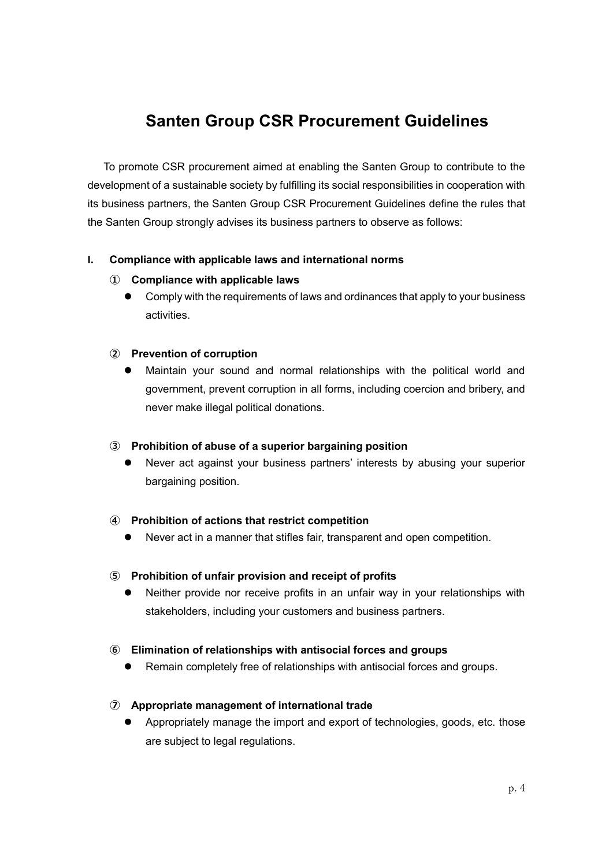# **Santen Group CSR Procurement Guidelines**

 To promote CSR procurement aimed at enabling the Santen Group to contribute to the development of a sustainable society by fulfilling its social responsibilities in cooperation with its business partners, the Santen Group CSR Procurement Guidelines define the rules that the Santen Group strongly advises its business partners to observe as follows:

# **I. Compliance with applicable laws and international norms**

### **① Compliance with applicable laws**

 Comply with the requirements of laws and ordinances that apply to your business activities.

### **② Prevention of corruption**

 Maintain your sound and normal relationships with the political world and government, prevent corruption in all forms, including coercion and bribery, and never make illegal political donations.

### **③ Prohibition of abuse of a superior bargaining position**

 Never act against your business partners' interests by abusing your superior bargaining position.

### **④ Prohibition of actions that restrict competition**

Never act in a manner that stifles fair, transparent and open competition.

### **⑤ Prohibition of unfair provision and receipt of profits**

 Neither provide nor receive profits in an unfair way in your relationships with stakeholders, including your customers and business partners.

### **⑥ Elimination of relationships with antisocial forces and groups**

Remain completely free of relationships with antisocial forces and groups.

### **⑦ Appropriate management of international trade**

 Appropriately manage the import and export of technologies, goods, etc. those are subject to legal regulations.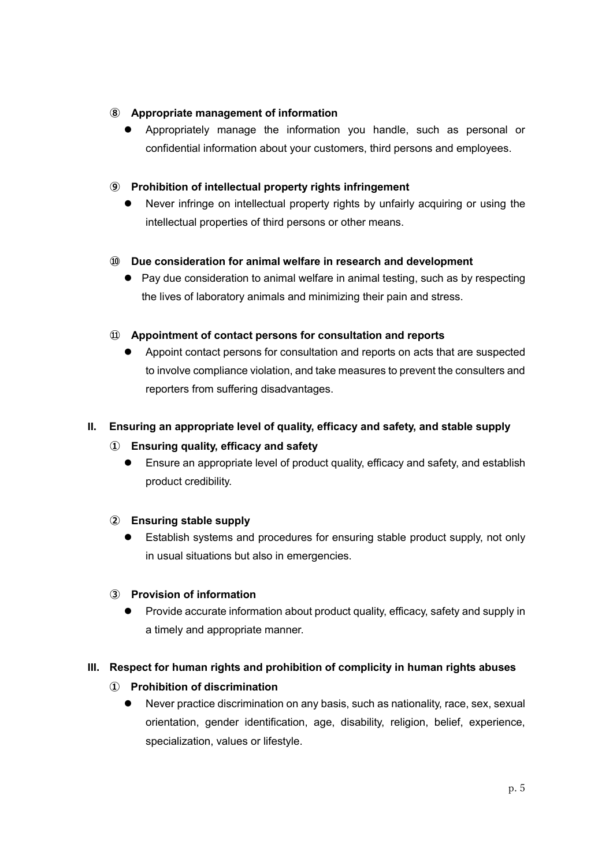### **⑧ Appropriate management of information**

 Appropriately manage the information you handle, such as personal or confidential information about your customers, third persons and employees.

### **⑨ Prohibition of intellectual property rights infringement**

 Never infringe on intellectual property rights by unfairly acquiring or using the intellectual properties of third persons or other means.

### **⑩ Due consideration for animal welfare in research and development**

• Pay due consideration to animal welfare in animal testing, such as by respecting the lives of laboratory animals and minimizing their pain and stress.

### **⑪ Appointment of contact persons for consultation and reports**

 Appoint contact persons for consultation and reports on acts that are suspected to involve compliance violation, and take measures to prevent the consulters and reporters from suffering disadvantages.

### **II. Ensuring an appropriate level of quality, efficacy and safety, and stable supply**

### **① Ensuring quality, efficacy and safety**

 Ensure an appropriate level of product quality, efficacy and safety, and establish product credibility.

### **② Ensuring stable supply**

 Establish systems and procedures for ensuring stable product supply, not only in usual situations but also in emergencies.

### **③ Provision of information**

 Provide accurate information about product quality, efficacy, safety and supply in a timely and appropriate manner.

### **III. Respect for human rights and prohibition of complicity in human rights abuses**

### **① Prohibition of discrimination**

 Never practice discrimination on any basis, such as nationality, race, sex, sexual orientation, gender identification, age, disability, religion, belief, experience, specialization, values or lifestyle.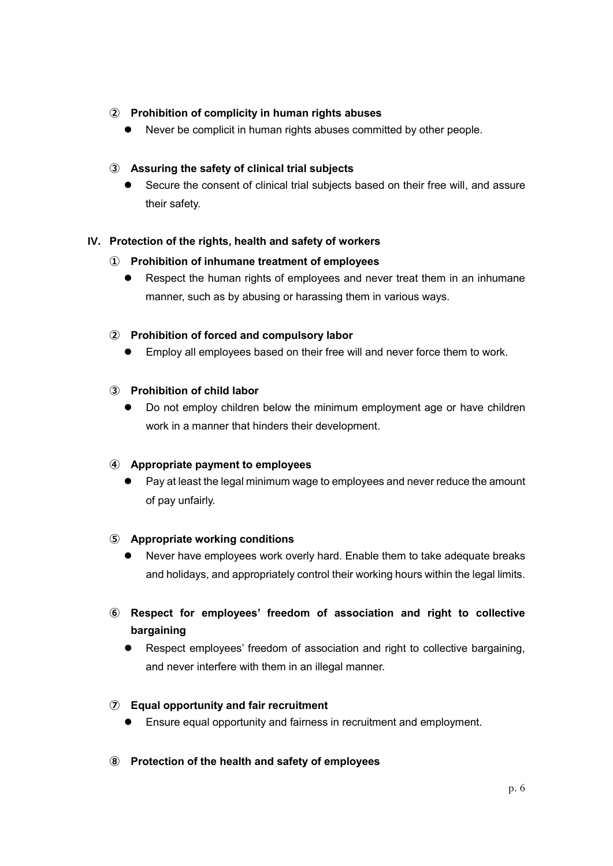### **② Prohibition of complicity in human rights abuses**

Never be complicit in human rights abuses committed by other people.

# **③ Assuring the safety of clinical trial subjects**

 Secure the consent of clinical trial subjects based on their free will, and assure their safety.

# **IV. Protection of the rights, health and safety of workers**

### **① Prohibition of inhumane treatment of employees**

 Respect the human rights of employees and never treat them in an inhumane manner, such as by abusing or harassing them in various ways.

### **② Prohibition of forced and compulsory labor**

Employ all employees based on their free will and never force them to work.

# **③ Prohibition of child labor**

 Do not employ children below the minimum employment age or have children work in a manner that hinders their development.

### **④ Appropriate payment to employees**

 Pay at least the legal minimum wage to employees and never reduce the amount of pay unfairly.

### **⑤ Appropriate working conditions**

- Never have employees work overly hard. Enable them to take adequate breaks and holidays, and appropriately control their working hours within the legal limits.
- **⑥ Respect for employees' freedom of association and right to collective bargaining**
	- Respect employees' freedom of association and right to collective bargaining, and never interfere with them in an illegal manner.

### **⑦ Equal opportunity and fair recruitment**

- Ensure equal opportunity and fairness in recruitment and employment.
- **⑧ Protection of the health and safety of employees**